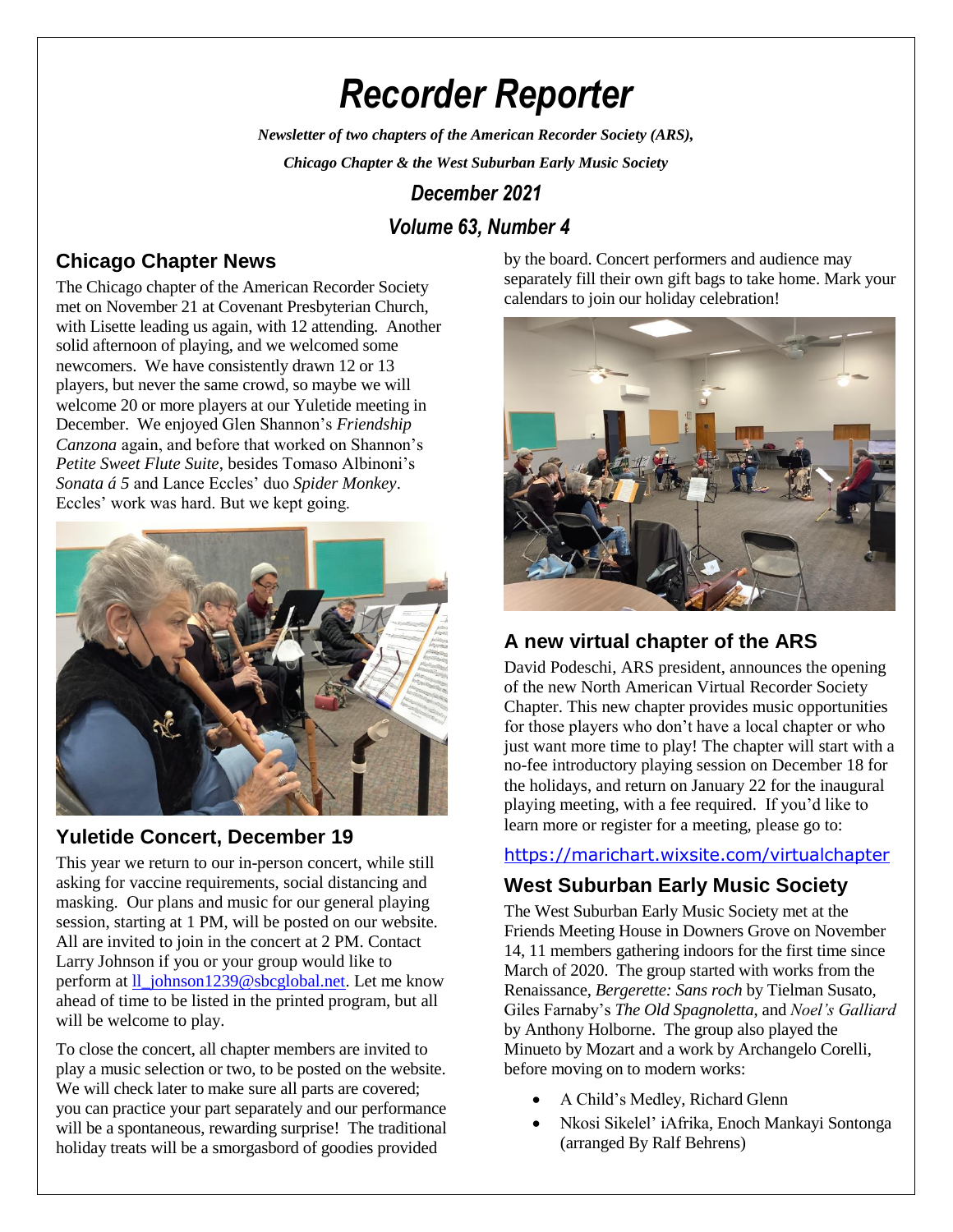# *Recorder Reporter*

*Newsletter of two chapters of the American Recorder Society (ARS),*

*Chicago Chapter & the West Suburban Early Music Society*

# *December 2021*

# *Volume 63, Number 4*

# **Chicago Chapter News**

The Chicago chapter of the American Recorder Society met on November 21 at Covenant Presbyterian Church, with Lisette leading us again, with 12 attending. Another solid afternoon of playing, and we welcomed some newcomers. We have consistently drawn 12 or 13 players, but never the same crowd, so maybe we will welcome 20 or more players at our Yuletide meeting in December. We enjoyed Glen Shannon's *Friendship Canzona* again, and before that worked on Shannon's *Petite Sweet Flute Suite*, besides Tomaso Albinoni's *Sonata á 5* and Lance Eccles' duo *Spider Monkey*. Eccles' work was hard. But we kept going.



## **Yuletide Concert, December 19**

This year we return to our in-person concert, while still asking for vaccine requirements, social distancing and masking. Our plans and music for our general playing session, starting at 1 PM, will be posted on our website. All are invited to join in the concert at 2 PM. Contact Larry Johnson if you or your group would like to perform at [ll\\_johnson1239@sbcglobal.net.](mailto:ll_johnson1239@sbcglobal.net) Let me know ahead of time to be listed in the printed program, but all will be welcome to play.

To close the concert, all chapter members are invited to play a music selection or two, to be posted on the website. We will check later to make sure all parts are covered; you can practice your part separately and our performance will be a spontaneous, rewarding surprise! The traditional holiday treats will be a smorgasbord of goodies provided

by the board. Concert performers and audience may separately fill their own gift bags to take home. Mark your calendars to join our holiday celebration!



# **A new virtual chapter of the ARS**

David Podeschi, ARS president, announces the opening of the new North American Virtual Recorder Society Chapter. This new chapter provides music opportunities for those players who don't have a local chapter or who just want more time to play! The chapter will start with a no-fee introductory playing session on December 18 for the holidays, and return on January 22 for the inaugural playing meeting, with a fee required. If you'd like to learn more or register for a meeting, please go to:

#### <https://marichart.wixsite.com/virtualchapter>

# **West Suburban Early Music Society**

The West Suburban Early Music Society met at the Friends Meeting House in Downers Grove on November 14, 11 members gathering indoors for the first time since March of 2020. The group started with works from the Renaissance, *Bergerette: Sans roch* by Tielman Susato, Giles Farnaby's *The Old Spagnoletta*, and *Noel's Galliard* by Anthony Holborne. The group also played the Minueto by Mozart and a work by Archangelo Corelli, before moving on to modern works:

- A Child's Medley, Richard Glenn
- Nkosi Sikelel' iAfrika, Enoch Mankayi Sontonga (arranged By Ralf Behrens)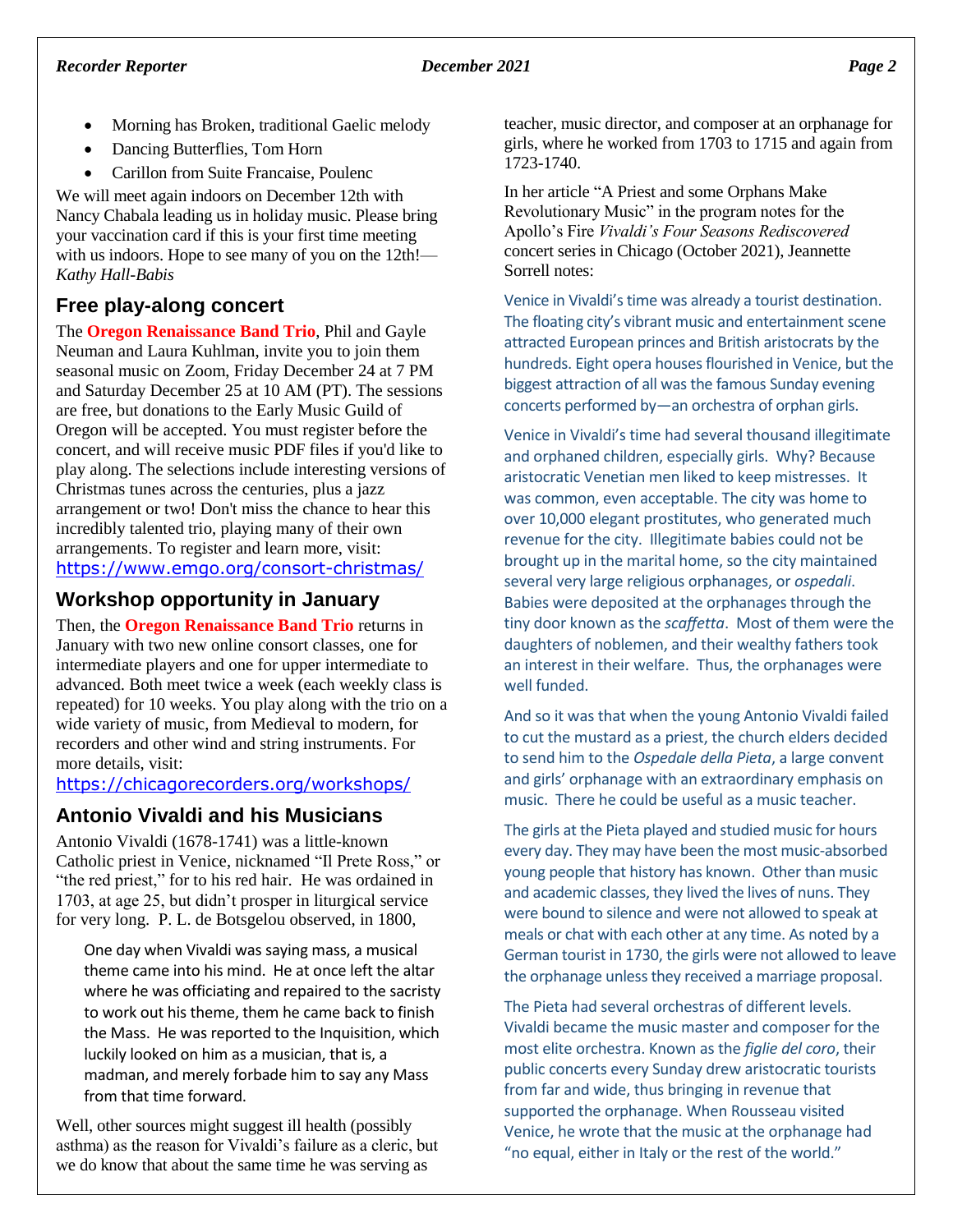- Morning has Broken, traditional Gaelic melody
- Dancing Butterflies, Tom Horn
- Carillon from Suite Francaise, Poulenc

We will meet again indoors on December 12th with Nancy Chabala leading us in holiday music. Please bring your vaccination card if this is your first time meeting with us indoors. Hope to see many of you on the 12th!— *Kathy Hall-Babis*

## **Free play-along concert**

The **Oregon Renaissance Band Trio**, Phil and Gayle Neuman and Laura Kuhlman, invite you to join them seasonal music on Zoom, Friday December 24 at 7 PM and Saturday December 25 at 10 AM (PT). The sessions are free, but donations to the Early Music Guild of Oregon will be accepted. You must register before the concert, and will receive music PDF files if you'd like to play along. The selections include interesting versions of Christmas tunes across the centuries, plus a jazz arrangement or two! Don't miss the chance to hear this incredibly talented trio, playing many of their own arrangements. To register and learn more, visit: <https://www.emgo.org/consort-christmas/>

# **Workshop opportunity in January**

Then, the **Oregon Renaissance Band Trio** returns in January with two new online consort classes, one for intermediate players and one for upper intermediate to advanced. Both meet twice a week (each weekly class is repeated) for 10 weeks. You play along with the trio on a wide variety of music, from Medieval to modern, for recorders and other wind and string instruments. For more details, visit:

#### <https://chicagorecorders.org/workshops/>

# **Antonio Vivaldi and his Musicians**

Antonio Vivaldi (1678-1741) was a little-known Catholic priest in Venice, nicknamed "Il Prete Ross," or "the red priest," for to his red hair. He was ordained in 1703, at age 25, but didn't prosper in liturgical service for very long. P. L. de Botsgelou observed, in 1800,

One day when Vivaldi was saying mass, a musical theme came into his mind. He at once left the altar where he was officiating and repaired to the sacristy to work out his theme, them he came back to finish the Mass. He was reported to the Inquisition, which luckily looked on him as a musician, that is, a madman, and merely forbade him to say any Mass from that time forward.

Well, other sources might suggest ill health (possibly asthma) as the reason for Vivaldi's failure as a cleric, but we do know that about the same time he was serving as

teacher, music director, and composer at an orphanage for girls, where he worked from 1703 to 1715 and again from 1723-1740.

In her article "A Priest and some Orphans Make Revolutionary Music" in the program notes for the Apollo's Fire *Vivaldi's Four Seasons Rediscovered* concert series in Chicago (October 2021), Jeannette Sorrell notes:

Venice in Vivaldi's time was already a tourist destination. The floating city's vibrant music and entertainment scene attracted European princes and British aristocrats by the hundreds. Eight opera houses flourished in Venice, but the biggest attraction of all was the famous Sunday evening concerts performed by—an orchestra of orphan girls.

Venice in Vivaldi's time had several thousand illegitimate and orphaned children, especially girls. Why? Because aristocratic Venetian men liked to keep mistresses. It was common, even acceptable. The city was home to over 10,000 elegant prostitutes, who generated much revenue for the city. Illegitimate babies could not be brought up in the marital home, so the city maintained several very large religious orphanages, or *ospedali*. Babies were deposited at the orphanages through the tiny door known as the *scaffetta*. Most of them were the daughters of noblemen, and their wealthy fathers took an interest in their welfare. Thus, the orphanages were well funded.

And so it was that when the young Antonio Vivaldi failed to cut the mustard as a priest, the church elders decided to send him to the *Ospedale della Pieta*, a large convent and girls' orphanage with an extraordinary emphasis on music. There he could be useful as a music teacher.

The girls at the Pieta played and studied music for hours every day. They may have been the most music-absorbed young people that history has known. Other than music and academic classes, they lived the lives of nuns. They were bound to silence and were not allowed to speak at meals or chat with each other at any time. As noted by a German tourist in 1730, the girls were not allowed to leave the orphanage unless they received a marriage proposal.

The Pieta had several orchestras of different levels. Vivaldi became the music master and composer for the most elite orchestra. Known as the *figlie del coro*, their public concerts every Sunday drew aristocratic tourists from far and wide, thus bringing in revenue that supported the orphanage. When Rousseau visited Venice, he wrote that the music at the orphanage had "no equal, either in Italy or the rest of the world."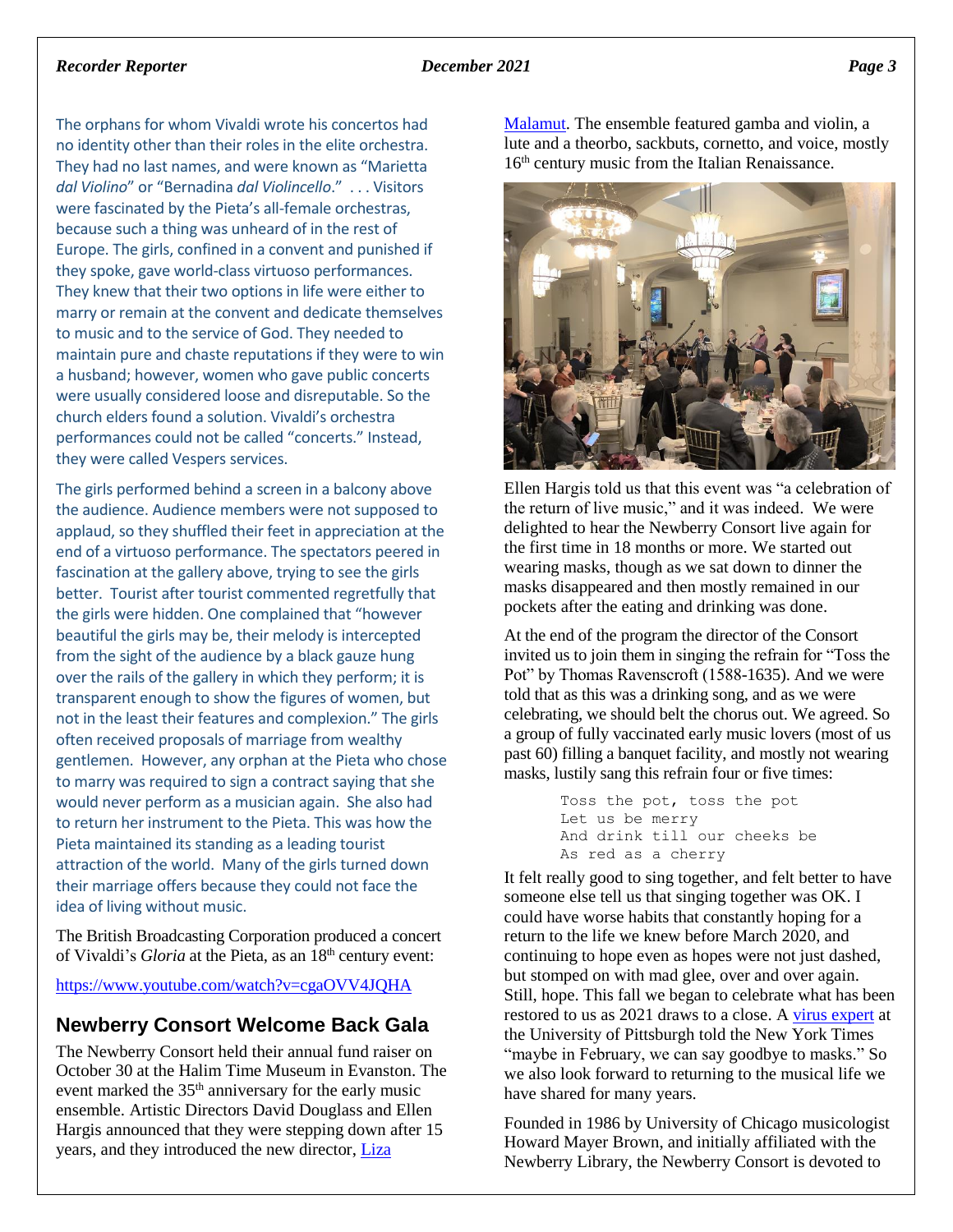#### *Recorder Reporter December 2021 Page 3*

The orphans for whom Vivaldi wrote his concertos had no identity other than their roles in the elite orchestra. They had no last names, and were known as "Marietta *dal Violino*" or "Bernadina *dal Violincello*." . . . Visitors were fascinated by the Pieta's all-female orchestras, because such a thing was unheard of in the rest of Europe. The girls, confined in a convent and punished if they spoke, gave world-class virtuoso performances. They knew that their two options in life were either to marry or remain at the convent and dedicate themselves to music and to the service of God. They needed to maintain pure and chaste reputations if they were to win a husband; however, women who gave public concerts were usually considered loose and disreputable. So the church elders found a solution. Vivaldi's orchestra performances could not be called "concerts." Instead, they were called Vespers services.

The girls performed behind a screen in a balcony above the audience. Audience members were not supposed to applaud, so they shuffled their feet in appreciation at the end of a virtuoso performance. The spectators peered in fascination at the gallery above, trying to see the girls better. Tourist after tourist commented regretfully that the girls were hidden. One complained that "however beautiful the girls may be, their melody is intercepted from the sight of the audience by a black gauze hung over the rails of the gallery in which they perform; it is transparent enough to show the figures of women, but not in the least their features and complexion." The girls often received proposals of marriage from wealthy gentlemen. However, any orphan at the Pieta who chose to marry was required to sign a contract saying that she would never perform as a musician again. She also had to return her instrument to the Pieta. This was how the Pieta maintained its standing as a leading tourist attraction of the world. Many of the girls turned down their marriage offers because they could not face the idea of living without music.

The British Broadcasting Corporation produced a concert of Vivaldi's *Gloria* at the Pieta, as an 18<sup>th</sup> century event:

<https://www.youtube.com/watch?v=cgaOVV4JQHA>

#### **Newberry Consort Welcome Back Gala**

The Newberry Consort held their annual fund raiser on October 30 at the Halim Time Museum in Evanston. The event marked the 35<sup>th</sup> anniversary for the early music ensemble. Artistic Directors David Douglass and Ellen Hargis announced that they were stepping down after 15 years, and they introduced the new director, [Liza](http://www.lizamalamut.com/) 

[Malamut.](http://www.lizamalamut.com/) The ensemble featured gamba and violin, a lute and a theorbo, sackbuts, cornetto, and voice, mostly 16<sup>th</sup> century music from the Italian Renaissance.



Ellen Hargis told us that this event was "a celebration of the return of live music," and it was indeed. We were delighted to hear the Newberry Consort live again for the first time in 18 months or more. We started out wearing masks, though as we sat down to dinner the masks disappeared and then mostly remained in our pockets after the eating and drinking was done.

At the end of the program the director of the Consort invited us to join them in singing the refrain for "Toss the Pot" by Thomas Ravenscroft (1588-1635). And we were told that as this was a drinking song, and as we were celebrating, we should belt the chorus out. We agreed. So a group of fully vaccinated early music lovers (most of us past 60) filling a banquet facility, and mostly not wearing masks, lustily sang this refrain four or five times:

> Toss the pot, toss the pot Let us be merry And drink till our cheeks be As red as a cherry

It felt really good to sing together, and felt better to have someone else tell us that singing together was OK. I could have worse habits that constantly hoping for a return to the life we knew before March 2020, and continuing to hope even as hopes were not just dashed, but stomped on with mad glee, over and over again. Still, hope. This fall we began to celebrate what has been restored to us as 2021 draws to a close. [A virus expert](https://www.nytimes.com/2021/11/20/health/covid-mask-mandate.html?campaign_id=9&emc=edit_nn_20211121&instance_id=45964&nl=the-morning®i_id=63196483&segment_id=75001&te=1&user_id=902510b17c161670925d265c96da7fc0) at the University of Pittsburgh told the New York Times "maybe in February, we can say goodbye to masks." So we also look forward to returning to the musical life we have shared for many years.

Founded in 1986 by University of Chicago musicologist Howard Mayer Brown, and initially affiliated with the Newberry Library, the Newberry Consort is devoted to